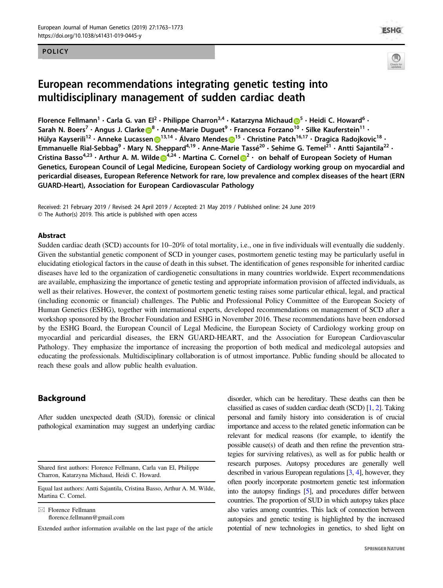#### **POLICY**



**ESHG** 

# European recommendations integrating genetic testing into multidisciplinary management of sudden cardiac death

Florence Fellmann<sup>1</sup> • Carla G. van El<sup>2</sup> • Philippe Charron<sup>3,4</sup> • Katarzyna Michaud D<sup>[5](http://orcid.org/0000-0003-2681-2544)</sup> • Heidi C. Howard<sup>6</sup> • Sarah N. Bo[e](http://orcid.org/0000-0002-1200-9286)rs<sup>7</sup> • Angus J. Clarke D $^8$  $^8$  • Anne-Marie Duguet $^9$  • Francesca Forzano<sup>10</sup> • Silke Kauferstein<sup>11</sup> • Hülya Kayserili<sup>12</sup> • A[n](http://orcid.org/0000-0003-3324-4338)neke Lucassen D<sup>[1](http://orcid.org/0000-0002-8766-7646)3,14</[s](http://orcid.org/0000-0002-8766-7646)up> • Álvaro Mendes D<sup>15</sup> • Christine Patch<sup>16,17</sup> • Dragica Radojkovic<sup>18</sup> • Emmanuelle Rial-Sebbag<sup>9</sup> • Mary N. Sheppard<sup>4,19</sup> • Anne-Marie Tassé<sup>20</sup> • Sehime G. Temel<sup>21</sup> • Antti Sajantila<sup>22</sup> • Cristina Basso<sup>[4](http://orcid.org/0000-0002-0528-0852),[2](http://orcid.org/0000-0002-5397-5544)3</sup> • Arthur A. M. Wilde  $\mathbf{D}^{4,24}$  • Martina C. Cornel  $\mathbf{D}^2$  • on behalf of European Society of Human Genetics, European Council of Legal Medicine, European Society of Cardiology working group on myocardial and pericardial diseases, European Reference Network for rare, low prevalence and complex diseases of the heart (ERN GUARD-Heart), Association for European Cardiovascular Pathology

Received: 21 February 2019 / Revised: 24 April 2019 / Accepted: 21 May 2019 / Published online: 24 June 2019 © The Author(s) 2019. This article is published with open access

#### Abstract

Sudden cardiac death (SCD) accounts for 10–20% of total mortality, i.e., one in five individuals will eventually die suddenly. Given the substantial genetic component of SCD in younger cases, postmortem genetic testing may be particularly useful in elucidating etiological factors in the cause of death in this subset. The identification of genes responsible for inherited cardiac diseases have led to the organization of cardiogenetic consultations in many countries worldwide. Expert recommendations are available, emphasizing the importance of genetic testing and appropriate information provision of affected individuals, as well as their relatives. However, the context of postmortem genetic testing raises some particular ethical, legal, and practical (including economic or financial) challenges. The Public and Professional Policy Committee of the European Society of Human Genetics (ESHG), together with international experts, developed recommendations on management of SCD after a workshop sponsored by the Brocher Foundation and ESHG in November 2016. These recommendations have been endorsed by the ESHG Board, the European Council of Legal Medicine, the European Society of Cardiology working group on myocardial and pericardial diseases, the ERN GUARD-HEART, and the Association for European Cardiovascular Pathology. They emphasize the importance of increasing the proportion of both medical and medicolegal autopsies and educating the professionals. Multidisciplinary collaboration is of utmost importance. Public funding should be allocated to reach these goals and allow public health evaluation.

## Background

After sudden unexpected death (SUD), forensic or clinical pathological examination may suggest an underlying cardiac

Shared first authors: Florence Fellmann, Carla van El, Philippe Charron, Katarzyna Michaud, Heidi C. Howard.

Equal last authors: Antti Sajantila, Cristina Basso, Arthur A. M. Wilde, Martina C. Cornel.

 $\boxtimes$  Florence Fellmann fl[orence.fellmann@gmail.com](mailto:florence.fellmann@gmail.com)

Extended author information available on the last page of the article

disorder, which can be hereditary. These deaths can then be classified as cases of sudden cardiac death (SCD) [[1](#page-8-0), [2\]](#page-8-0). Taking personal and family history into consideration is of crucial importance and access to the related genetic information can be relevant for medical reasons (for example, to identify the possible cause(s) of death and then refine the prevention strategies for surviving relatives), as well as for public health or research purposes. Autopsy procedures are generally well described in various European regulations [\[3,](#page-8-0) [4](#page-8-0)], however, they often poorly incorporate postmortem genetic test information into the autopsy findings [\[5\]](#page-8-0), and procedures differ between countries. The proportion of SUD in which autopsy takes place also varies among countries. This lack of connection between autopsies and genetic testing is highlighted by the increased potential of new technologies in genetics, to shed light on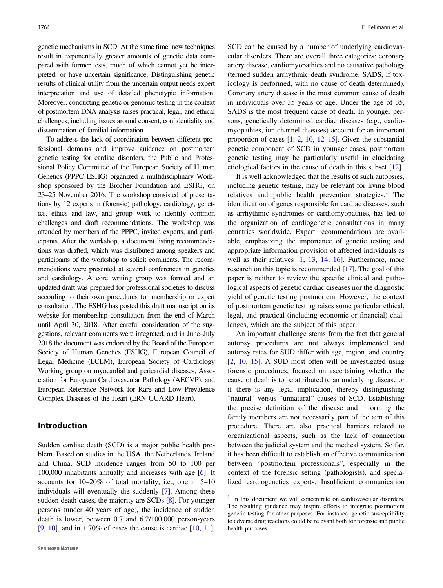genetic mechanisms in SCD. At the same time, new techniques result in exponentially greater amounts of genetic data compared with former tests, much of which cannot yet be interpreted, or have uncertain significance. Distinguishing genetic results of clinical utility from the uncertain output needs expert interpretation and use of detailed phenotypic information. Moreover, conducting genetic or genomic testing in the context of postmortem DNA analysis raises practical, legal, and ethical challenges; including issues around consent, confidentiality and dissemination of familial information.

To address the lack of coordination between different professional domains and improve guidance on postmortem genetic testing for cardiac disorders, the Public and Professional Policy Committee of the European Society of Human Genetics (PPPC ESHG) organized a multidisciplinary Workshop sponsored by the Brocher Foundation and ESHG, on 23–25 November 2016. The workshop consisted of presentations by 12 experts in (forensic) pathology, cardiology, genetics, ethics and law, and group work to identify common challenges and draft recommendations. The workshop was attended by members of the PPPC, invited experts, and participants. After the workshop, a document listing recommendations was drafted, which was distributed among speakers and participants of the workshop to solicit comments. The recommendations were presented at several conferences in genetics and cardiology. A core writing group was formed and an updated draft was prepared for professional societies to discuss according to their own procedures for membership or expert consultation. The ESHG has posted this draft manuscript on its website for membership consultation from the end of March until April 30, 2018. After careful consideration of the suggestions, relevant comments were integrated, and in June–July 2018 the document was endorsed by the Board of the European Society of Human Genetics (ESHG), European Council of Legal Medicine (ECLM), European Society of Cardiology Working group on myocardial and pericardial diseases, Association for European Cardiovascular Pathology (AECVP), and European Reference Network for Rare and Low Prevalence Complex Diseases of the Heart (ERN GUARD-Heart).

## Introduction

Sudden cardiac death (SCD) is a major public health problem. Based on studies in the USA, the Netherlands, Ireland and China, SCD incidence ranges from 50 to 100 per 100,000 inhabitants annually and increases with age [\[6\]](#page-8-0). It accounts for 10–20% of total mortality, i.e., one in 5–10 individuals will eventually die suddenly [[7\]](#page-8-0). Among these sudden death cases, the majority are SCDs [[8\]](#page-8-0). For younger persons (under 40 years of age), the incidence of sudden death is lower, between 0.7 and 6.2/100,000 person-years [\[9](#page-8-0), [10\]](#page-8-0), and in  $\pm 70\%$  of cases the cause is cardiac [\[10](#page-8-0), [11](#page-8-0)]. SCD can be caused by a number of underlying cardiovascular disorders. There are overall three categories: coronary artery disease, cardiomyopathies and no causative pathology (termed sudden arrhythmic death syndrome, SADS, if toxicology is performed, with no cause of death determined). Coronary artery disease is the most common cause of death in individuals over 35 years of age. Under the age of 35, SADS is the most frequent cause of death. In younger persons, genetically determined cardiac diseases (e.g., cardiomyopathies, ion-channel diseases) account for an important proportion of cases [\[1](#page-8-0), [2,](#page-8-0) [10,](#page-8-0) [12](#page-8-0)–[15](#page-8-0)]. Given the substantial genetic component of SCD in younger cases, postmortem genetic testing may be particularly useful in elucidating etiological factors in the cause of death in this subset [[12](#page-8-0)].

It is well acknowledged that the results of such autopsies, including genetic testing, may be relevant for living blood relatives and public health prevention strategies.<sup>1</sup> The identification of genes responsible for cardiac diseases, such as arrhythmic syndromes or cardiomyopathies, has led to the organization of cardiogenetic consultations in many countries worldwide. Expert recommendations are available, emphasizing the importance of genetic testing and appropriate information provision of affected individuals as well as their relatives [[1,](#page-8-0) [13,](#page-8-0) [14](#page-8-0), [16\]](#page-8-0). Furthermore, more research on this topic is recommended [[17\]](#page-8-0). The goal of this paper is neither to review the specific clinical and pathological aspects of genetic cardiac diseases nor the diagnostic yield of genetic testing postmortem. However, the context of postmortem genetic testing raises some particular ethical, legal, and practical (including economic or financial) challenges, which are the subject of this paper.

An important challenge stems from the fact that general autopsy procedures are not always implemented and autopsy rates for SUD differ with age, region, and country [\[2](#page-8-0), [10,](#page-8-0) [15](#page-8-0)]. A SUD most often will be investigated using forensic procedures, focused on ascertaining whether the cause of death is to be attributed to an underlying disease or if there is any legal implication, thereby distinguishing "natural" versus "unnatural" causes of SCD. Establishing the precise definition of the disease and informing the family members are not necessarily part of the aim of this procedure. There are also practical barriers related to organizational aspects, such as the lack of connection between the judicial system and the medical system. So far, it has been difficult to establish an effective communication between "postmortem professionals", especially in the context of the forensic setting (pathologists), and specialized cardiogenetics experts. Insufficient communication

<sup>&</sup>lt;sup>1</sup> In this document we will concentrate on cardiovascular disorders. The resulting guidance may inspire efforts to integrate postmortem genetic testing for other purposes. For instance, genetic susceptibility to adverse drug reactions could be relevant both for forensic and public health purposes.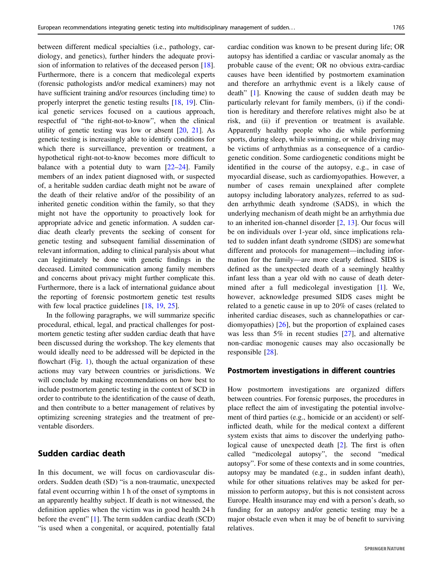between different medical specialties (i.e., pathology, cardiology, and genetics), further hinders the adequate provision of information to relatives of the deceased person [\[18](#page-8-0)]. Furthermore, there is a concern that medicolegal experts (forensic pathologists and/or medical examiners) may not have sufficient training and/or resources (including time) to properly interpret the genetic testing results [[18,](#page-8-0) [19\]](#page-8-0). Clinical genetic services focused on a cautious approach, respectful of "the right-not-to-know", when the clinical utility of genetic testing was low or absent [[20,](#page-8-0) [21\]](#page-8-0). As genetic testing is increasingly able to identify conditions for which there is surveillance, prevention or treatment, a hypothetical right-not-to-know becomes more difficult to balance with a potential duty to warn  $[22-24]$  $[22-24]$  $[22-24]$  $[22-24]$ . Family members of an index patient diagnosed with, or suspected of, a heritable sudden cardiac death might not be aware of the death of their relative and/or of the possibility of an inherited genetic condition within the family, so that they might not have the opportunity to proactively look for appropriate advice and genetic information. A sudden cardiac death clearly prevents the seeking of consent for genetic testing and subsequent familial dissemination of relevant information, adding to clinical paralysis about what can legitimately be done with genetic findings in the deceased. Limited communication among family members and concerns about privacy might further complicate this. Furthermore, there is a lack of international guidance about the reporting of forensic postmortem genetic test results with few local practice guidelines [\[18](#page-8-0), [19,](#page-8-0) [25\]](#page-8-0).

In the following paragraphs, we will summarize specific procedural, ethical, legal, and practical challenges for postmortem genetic testing after sudden cardiac death that have been discussed during the workshop. The key elements that would ideally need to be addressed will be depicted in the flowchart (Fig. [1\)](#page-3-0), though the actual organization of these actions may vary between countries or jurisdictions. We will conclude by making recommendations on how best to include postmortem genetic testing in the context of SCD in order to contribute to the identification of the cause of death, and then contribute to a better management of relatives by optimizing screening strategies and the treatment of preventable disorders.

## Sudden cardiac death

In this document, we will focus on cardiovascular disorders. Sudden death (SD) "is a non-traumatic, unexpected fatal event occurring within 1 h of the onset of symptoms in an apparently healthy subject. If death is not witnessed, the definition applies when the victim was in good health 24 h before the event" [\[1](#page-8-0)]. The term sudden cardiac death (SCD) "is used when a congenital, or acquired, potentially fatal cardiac condition was known to be present during life; OR autopsy has identified a cardiac or vascular anomaly as the probable cause of the event; OR no obvious extra-cardiac causes have been identified by postmortem examination and therefore an arrhythmic event is a likely cause of death" [\[1](#page-8-0)]. Knowing the cause of sudden death may be particularly relevant for family members, (i) if the condition is hereditary and therefore relatives might also be at risk, and (ii) if prevention or treatment is available. Apparently healthy people who die while performing sports, during sleep, while swimming, or while driving may be victims of arrhythmias as a consequence of a cardiogenetic condition. Some cardiogenetic conditions might be identified in the course of the autopsy, e.g., in case of myocardial disease, such as cardiomyopathies. However, a number of cases remain unexplained after complete autopsy including laboratory analyzes, referred to as sudden arrhythmic death syndrome (SADS), in which the underlying mechanism of death might be an arrhythmia due to an inherited ion-channel disorder [[2,](#page-8-0) [13](#page-8-0)]. Our focus will be on individuals over 1-year old, since implications related to sudden infant death syndrome (SIDS) are somewhat different and protocols for management—including information for the family—are more clearly defined. SIDS is defined as the unexpected death of a seemingly healthy infant less than a year old with no cause of death determined after a full medicolegal investigation [[1\]](#page-8-0). We, however, acknowledge presumed SIDS cases might be related to a genetic cause in up to 20% of cases (related to inherited cardiac diseases, such as channelopathies or cardiomyopathies) [[26\]](#page-8-0), but the proportion of explained cases was less than 5% in recent studies [[27\]](#page-8-0), and alternative non-cardiac monogenic causes may also occasionally be responsible [\[28](#page-8-0)].

### Postmortem investigations in different countries

How postmortem investigations are organized differs between countries. For forensic purposes, the procedures in place reflect the aim of investigating the potential involvement of third parties (e.g., homicide or an accident) or selfinflicted death, while for the medical context a different system exists that aims to discover the underlying pathological cause of unexpected death [[2\]](#page-8-0). The first is often called "medicolegal autopsy", the second "medical autopsy". For some of these contexts and in some countries, autopsy may be mandated (e.g., in sudden infant death), while for other situations relatives may be asked for permission to perform autopsy, but this is not consistent across Europe. Health insurance may end with a person's death, so funding for an autopsy and/or genetic testing may be a major obstacle even when it may be of benefit to surviving relatives.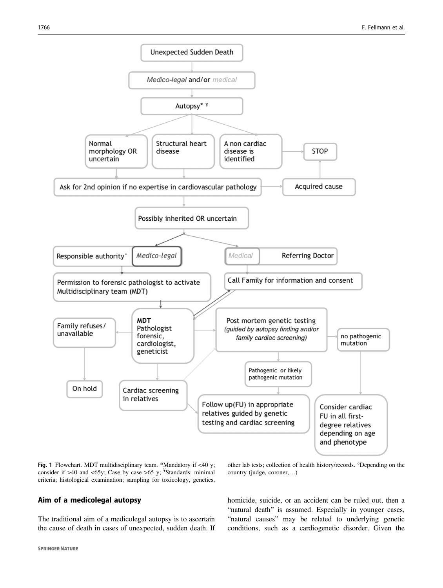<span id="page-3-0"></span>

Fig. 1 Flowchart. MDT multidisciplinary team. \*Mandatory if <40 y; consider if  $>40$  and <65y; Case by case  $>65$  y; <sup>¥</sup>Standards: minimal criteria; histological examination; sampling for toxicology, genetics,

other lab tests; collection of health history/records. °Depending on the country (judge, coroner,…)

## Aim of a medicolegal autopsy

The traditional aim of a medicolegal autopsy is to ascertain the cause of death in cases of unexpected, sudden death. If homicide, suicide, or an accident can be ruled out, then a "natural death" is assumed. Especially in younger cases, "natural causes" may be related to underlying genetic conditions, such as a cardiogenetic disorder. Given the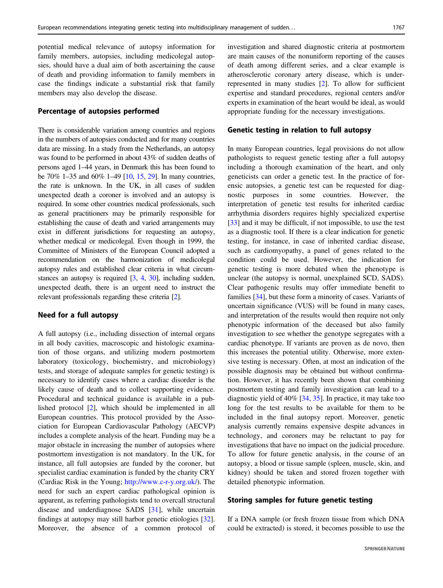potential medical relevance of autopsy information for family members, autopsies, including medicolegal autopsies, should have a dual aim of both ascertaining the cause of death and providing information to family members in case the findings indicate a substantial risk that family members may also develop the disease.

#### Percentage of autopsies performed

There is considerable variation among countries and regions in the numbers of autopsies conducted and for many countries data are missing. In a study from the Netherlands, an autopsy was found to be performed in about 43% of sudden deaths of persons aged 1–44 years, in Denmark this has been found to be 70% 1–35 and 60% 1–49 [[10](#page-8-0), [15](#page-8-0), [29](#page-8-0)]. In many countries, the rate is unknown. In the UK, in all cases of sudden unexpected death a coroner is involved and an autopsy is required. In some other countries medical professionals, such as general practitioners may be primarily responsible for establishing the cause of death and varied arrangements may exist in different jurisdictions for requesting an autopsy, whether medical or medicolegal. Even though in 1999, the Committee of Ministers of the European Council adopted a recommendation on the harmonization of medicolegal autopsy rules and established clear criteria in what circumstances an autopsy is required [\[3,](#page-8-0) [4](#page-8-0), [30\]](#page-8-0), including sudden, unexpected death, there is an urgent need to instruct the relevant professionals regarding these criteria [\[2\]](#page-8-0).

#### Need for a full autopsy

A full autopsy (i.e., including dissection of internal organs in all body cavities, macroscopic and histologic examination of those organs, and utilizing modern postmortem laboratory (toxicology, biochemistry, and microbiology) tests, and storage of adequate samples for genetic testing) is necessary to identify cases where a cardiac disorder is the likely cause of death and to collect supporting evidence. Procedural and technical guidance is available in a published protocol [\[2](#page-8-0)], which should be implemented in all European countries. This protocol provided by the Association for European Cardiovascular Pathology (AECVP) includes a complete analysis of the heart. Funding may be a major obstacle in increasing the number of autopsies where postmortem investigation is not mandatory. In the UK, for instance, all full autopsies are funded by the coroner, but specialist cardiac examination is funded by the charity CRY (Cardiac Risk in the Young; <http://www.c-r-y.org.uk/>). The need for such an expert cardiac pathological opinion is apparent, as referring pathologists tend to overcall structural disease and underdiagnose SADS [\[31](#page-9-0)], while uncertain findings at autopsy may still harbor genetic etiologies [\[32](#page-9-0)]. Moreover, the absence of a common protocol of investigation and shared diagnostic criteria at postmortem are main causes of the nonuniform reporting of the causes of death among different series, and a clear example is atherosclerotic coronary artery disease, which is underrepresented in many studies [\[2](#page-8-0)]. To allow for sufficient expertise and standard procedures, regional centers and/or experts in examination of the heart would be ideal, as would appropriate funding for the necessary investigations.

## Genetic testing in relation to full autopsy

In many European countries, legal provisions do not allow pathologists to request genetic testing after a full autopsy including a thorough examination of the heart, and only geneticists can order a genetic test. In the practice of forensic autopsies, a genetic test can be requested for diagnostic purposes in some countries. However, the interpretation of genetic test results for inherited cardiac arrhythmia disorders requires highly specialized expertise [\[33](#page-9-0)] and it may be difficult, if not impossible, to use the test as a diagnostic tool. If there is a clear indication for genetic testing, for instance, in case of inherited cardiac disease, such as cardiomyopathy, a panel of genes related to the condition could be used. However, the indication for genetic testing is more debated when the phenotype is unclear (the autopsy is normal, unexplained SCD, SADS). Clear pathogenic results may offer immediate benefit to families [\[34](#page-9-0)], but these form a minority of cases. Variants of uncertain significance (VUS) will be found in many cases, and interpretation of the results would then require not only phenotypic information of the deceased but also family investigation to see whether the genotype segregates with a cardiac phenotype. If variants are proven as de novo, then this increases the potential utility. Otherwise, more extensive testing is necessary. Often, at most an indication of the possible diagnosis may be obtained but without confirmation. However, it has recently been shown that combining postmortem testing and family investigation can lead to a diagnostic yield of 40% [[34,](#page-9-0) [35\]](#page-9-0). In practice, it may take too long for the test results to be available for them to be included in the final autopsy report. Moreover, genetic analysis currently remains expensive despite advances in technology, and coroners may be reluctant to pay for investigations that have no impact on the judicial procedure. To allow for future genetic analysis, in the course of an autopsy, a blood or tissue sample (spleen, muscle, skin, and kidney) should be taken and stored frozen together with detailed phenotypic information.

#### Storing samples for future genetic testing

If a DNA sample (or fresh frozen tissue from which DNA could be extracted) is stored, it becomes possible to use the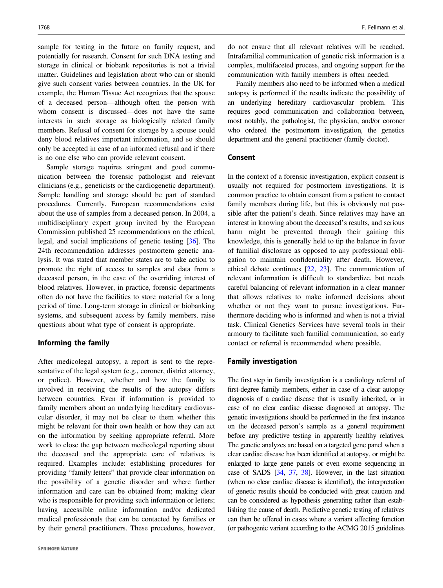sample for testing in the future on family request, and potentially for research. Consent for such DNA testing and storage in clinical or biobank repositories is not a trivial matter. Guidelines and legislation about who can or should give such consent varies between countries. In the UK for example, the Human Tissue Act recognizes that the spouse of a deceased person—although often the person with whom consent is discussed—does not have the same interests in such storage as biologically related family members. Refusal of consent for storage by a spouse could deny blood relatives important information, and so should only be accepted in case of an informed refusal and if there is no one else who can provide relevant consent.

Sample storage requires stringent and good communication between the forensic pathologist and relevant clinicians (e.g., geneticists or the cardiogenetic department). Sample handling and storage should be part of standard procedures. Currently, European recommendations exist about the use of samples from a deceased person. In 2004, a multidisciplinary expert group invited by the European Commission published 25 recommendations on the ethical, legal, and social implications of genetic testing [[36\]](#page-9-0). The 24th recommendation addresses postmortem genetic analysis. It was stated that member states are to take action to promote the right of access to samples and data from a deceased person, in the case of the overriding interest of blood relatives. However, in practice, forensic departments often do not have the facilities to store material for a long period of time. Long-term storage in clinical or biobanking systems, and subsequent access by family members, raise questions about what type of consent is appropriate.

#### Informing the family

After medicolegal autopsy, a report is sent to the representative of the legal system (e.g., coroner, district attorney, or police). However, whether and how the family is involved in receiving the results of the autopsy differs between countries. Even if information is provided to family members about an underlying hereditary cardiovascular disorder, it may not be clear to them whether this might be relevant for their own health or how they can act on the information by seeking appropriate referral. More work to close the gap between medicolegal reporting about the deceased and the appropriate care of relatives is required. Examples include: establishing procedures for providing "family letters" that provide clear information on the possibility of a genetic disorder and where further information and care can be obtained from; making clear who is responsible for providing such information or letters; having accessible online information and/or dedicated medical professionals that can be contacted by families or by their general practitioners. These procedures, however, do not ensure that all relevant relatives will be reached. Intrafamilial communication of genetic risk information is a complex, multifaceted process, and ongoing support for the communication with family members is often needed.

Family members also need to be informed when a medical autopsy is performed if the results indicate the possibility of an underlying hereditary cardiovascular problem. This requires good communication and collaboration between, most notably, the pathologist, the physician, and/or coroner who ordered the postmortem investigation, the genetics department and the general practitioner (family doctor).

### Consent

In the context of a forensic investigation, explicit consent is usually not required for postmortem investigations. It is common practice to obtain consent from a patient to contact family members during life, but this is obviously not possible after the patient's death. Since relatives may have an interest in knowing about the deceased's results, and serious harm might be prevented through their gaining this knowledge, this is generally held to tip the balance in favor of familial disclosure as opposed to any professional obligation to maintain confidentiality after death. However, ethical debate continues [[22,](#page-8-0) [23\]](#page-8-0). The communication of relevant information is difficult to standardize, but needs careful balancing of relevant information in a clear manner that allows relatives to make informed decisions about whether or not they want to pursue investigations. Furthermore deciding who is informed and when is not a trivial task. Clinical Genetics Services have several tools in their armoury to facilitate such familial communication, so early contact or referral is recommended where possible.

#### Family investigation

The first step in family investigation is a cardiology referral of first-degree family members, either in case of a clear autopsy diagnosis of a cardiac disease that is usually inherited, or in case of no clear cardiac disease diagnosed at autopsy. The genetic investigations should be performed in the first instance on the deceased person's sample as a general requirement before any predictive testing in apparently healthy relatives. The genetic analyzes are based on a targeted gene panel when a clear cardiac disease has been identified at autopsy, or might be enlarged to large gene panels or even exome sequencing in case of SADS [\[34](#page-9-0), [37,](#page-9-0) [38\]](#page-9-0). However, in the last situation (when no clear cardiac disease is identified), the interpretation of genetic results should be conducted with great caution and can be considered as hypothesis generating rather than establishing the cause of death. Predictive genetic testing of relatives can then be offered in cases where a variant affecting function (or pathogenic variant according to the ACMG 2015 guidelines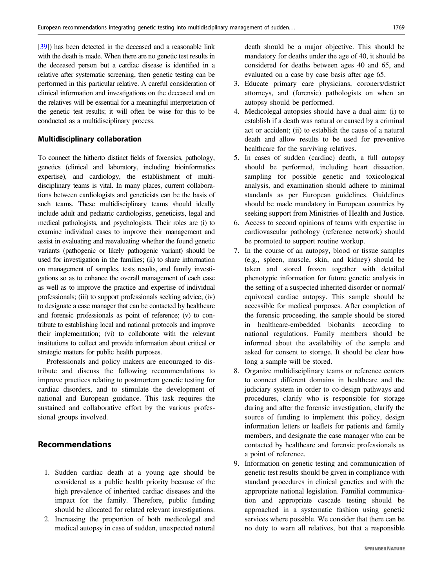[\[39](#page-9-0)]) has been detected in the deceased and a reasonable link with the death is made. When there are no genetic test results in the deceased person but a cardiac disease is identified in a relative after systematic screening, then genetic testing can be performed in this particular relative. A careful consideration of clinical information and investigations on the deceased and on the relatives will be essential for a meaningful interpretation of the genetic test results; it will often be wise for this to be conducted as a multidisciplinary process.

#### Multidisciplinary collaboration

To connect the hitherto distinct fields of forensics, pathology, genetics (clinical and laboratory, including bioinformatics expertise), and cardiology, the establishment of multidisciplinary teams is vital. In many places, current collaborations between cardiologists and geneticists can be the basis of such teams. These multidisciplinary teams should ideally include adult and pediatric cardiologists, geneticists, legal and medical pathologists, and psychologists. Their roles are (i) to examine individual cases to improve their management and assist in evaluating and reevaluating whether the found genetic variants (pathogenic or likely pathogenic variant) should be used for investigation in the families; (ii) to share information on management of samples, tests results, and family investigations so as to enhance the overall management of each case as well as to improve the practice and expertise of individual professionals; (iii) to support professionals seeking advice; (iv) to designate a case manager that can be contacted by healthcare and forensic professionals as point of reference; (v) to contribute to establishing local and national protocols and improve their implementation; (vi) to collaborate with the relevant institutions to collect and provide information about critical or strategic matters for public health purposes.

Professionals and policy makers are encouraged to distribute and discuss the following recommendations to improve practices relating to postmortem genetic testing for cardiac disorders, and to stimulate the development of national and European guidance. This task requires the sustained and collaborative effort by the various professional groups involved.

## Recommendations

- 1. Sudden cardiac death at a young age should be considered as a public health priority because of the high prevalence of inherited cardiac diseases and the impact for the family. Therefore, public funding should be allocated for related relevant investigations.
- 2. Increasing the proportion of both medicolegal and medical autopsy in case of sudden, unexpected natural

death should be a major objective. This should be mandatory for deaths under the age of 40, it should be considered for deaths between ages 40 and 65, and evaluated on a case by case basis after age 65.

- 3. Educate primary care physicians, coroners/district attorneys, and (forensic) pathologists on when an autopsy should be performed.
- 4. Medicolegal autopsies should have a dual aim: (i) to establish if a death was natural or caused by a criminal act or accident; (ii) to establish the cause of a natural death and allow results to be used for preventive healthcare for the surviving relatives.
- 5. In cases of sudden (cardiac) death, a full autopsy should be performed, including heart dissection, sampling for possible genetic and toxicological analysis, and examination should adhere to minimal standards as per European guidelines. Guidelines should be made mandatory in European countries by seeking support from Ministries of Health and Justice.
- 6. Access to second opinions of teams with expertise in cardiovascular pathology (reference network) should be promoted to support routine workup.
- 7. In the course of an autopsy, blood or tissue samples (e.g., spleen, muscle, skin, and kidney) should be taken and stored frozen together with detailed phenotypic information for future genetic analysis in the setting of a suspected inherited disorder or normal/ equivocal cardiac autopsy. This sample should be accessible for medical purposes. After completion of the forensic proceeding, the sample should be stored in healthcare-embedded biobanks according to national regulations. Family members should be informed about the availability of the sample and asked for consent to storage. It should be clear how long a sample will be stored.
- 8. Organize multidisciplinary teams or reference centers to connect different domains in healthcare and the judiciary system in order to co-design pathways and procedures, clarify who is responsible for storage during and after the forensic investigation, clarify the source of funding to implement this policy, design information letters or leaflets for patients and family members, and designate the case manager who can be contacted by healthcare and forensic professionals as a point of reference.
- 9. Information on genetic testing and communication of genetic test results should be given in compliance with standard procedures in clinical genetics and with the appropriate national legislation. Familial communication and appropriate cascade testing should be approached in a systematic fashion using genetic services where possible. We consider that there can be no duty to warn all relatives, but that a responsible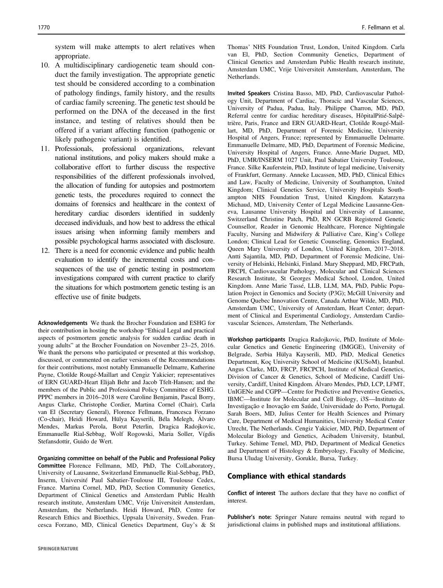system will make attempts to alert relatives when appropriate.

- 10. A multidisciplinary cardiogenetic team should conduct the family investigation. The appropriate genetic test should be considered according to a combination of pathology findings, family history, and the results of cardiac family screening. The genetic test should be performed on the DNA of the deceased in the first instance, and testing of relatives should then be offered if a variant affecting function (pathogenic or likely pathogenic variant) is identified.
- 11. Professionals, professional organizations, relevant national institutions, and policy makers should make a collaborative effort to further discuss the respective responsibilities of the different professionals involved, the allocation of funding for autopsies and postmortem genetic tests, the procedures required to connect the domains of forensics and healthcare in the context of hereditary cardiac disorders identified in suddenly deceased individuals, and how best to address the ethical issues arising when informing family members and possible psychological harms associated with disclosure.
- 12. There is a need for economic evidence and public health evaluation to identify the incremental costs and consequences of the use of genetic testing in postmortem investigations compared with current practice to clarify the situations for which postmortem genetic testing is an effective use of finite budgets.

Acknowledgements We thank the Brocher Foundation and ESHG for their contribution in hosting the workshop "Ethical Legal and practical aspects of postmortem genetic analysis for sudden cardiac death in young adults" at the Brocher Foundation on November 23–25, 2016. We thank the persons who participated or presented at this workshop, discussed, or commented on earlier versions of the Recommendations for their contributions, most notably Emmanuelle Delmarre, Katherine Payne, Clotilde Rougé-Maillart and Cengiz Yakicier; representatives of ERN GUARD-Heart Elijah Behr and Jacob Tfelt-Hansen; and the members of the Public and Professional Policy Committee of ESHG. PPPC members in 2016–2018 were Caroline Benjamin, Pascal Borry, Angus Clarke, Christophe Cordier, Martina Cornel (Chair), Carla van El (Secretary General), Florence Fellmann, Francesca Forzano (Co-chair), Heidi Howard, Hülya Kayserili, Béla Melegh, Álvaro Mendes, Markus Perola, Borut Peterlin, Dragica Radojkovic, Emmanuelle Rial-Sebbag, Wolf Rogowski, Maria Soller, Vígdis Stefansdottir, Guido de Wert.

Organizing committee on behalf of the Public and Professional Policy Committee Florence Fellmann, MD, PhD, The ColLaboratory, University of Lausanne, Switzerland Emmanuelle Rial-Sebbag, PhD, Inserm, Université Paul Sabatier-Toulouse III, Toulouse Cedex, France. Martina Cornel, MD, PhD, Section Community Genetics, Department of Clinical Genetics and Amsterdam Public Health research institute, Amsterdam UMC, Vrije Universiteit Amsterdam, Amsterdam, the Netherlands. Heidi Howard, PhD, Centre for Research Ethics and Bioethics, Uppsala University, Sweden. Francesca Forzano, MD, Clinical Genetics Department, Guy's & St

Thomas' NHS Foundation Trust, London, United Kingdom. Carla van El, PhD, Section Community Genetics, Department of Clinical Genetics and Amsterdam Public Health research institute, Amsterdam UMC, Vrije Universiteit Amsterdam, Amsterdam, The Netherlands.

Invited Speakers Cristina Basso, MD, PhD, Cardiovascular Pathology Unit, Department of Cardiac, Thoracic and Vascular Sciences, University of Padua, Padua, Italy. Philippe Charron, MD, PhD, Referral centre for cardiac hereditary diseases, HôpitalPitié-Salpêtrière, Paris, France and ERN GUARD-Heart, Clotilde Rougé-Maillart, MD, PhD, Department of Forensic Medicine, University Hospital of Angers, France; represented by Emmanuelle Delmarre. Emmanuelle Delmarre, MD, PhD, Department of Forensic Medicine, University Hospital of Angers, France. Anne-Marie Duguet, MD, PhD, UMR/INSERM 1027 Unit, Paul Sabatier University Toulouse, France. Silke Kauferstein, PhD, Institute of legal medicine, University of Frankfurt, Germany. Anneke Lucassen, MD, PhD, Clinical Ethics and Law, Faculty of Medicine, University of Southampton, United Kingdom; Clinical Genetics Service, University Hospitals Southampton NHS Foundation Trust, United Kingdom. Katarzyna Michaud, MD, University Center of Legal Medicine Lausanne-Geneva, Lausanne University Hospital and University of Lausanne, Switzerland Christine Patch, PhD, RN GCRB Registered Genetic Counsellor, Reader in Genomic Healthcare, Florence Nightingale Faculty, Nursing and Midwifery & Palliative Care, King's College London; Clinical Lead for Genetic Counseling, Genomics England, Queen Mary University of London, United Kingdom, 2017–2018. Antti Sajantila, MD, PhD, Department of Forensic Medicine, University of Helsinki, Helsinki, Finland. Mary Sheppard, MD, FRCPath, FRCPI, Cardiovascular Pathology, Molecular and Clinical Sciences Research Institute, St Georges Medical School, London, United Kingdom. Anne Marie Tassé, LLB, LLM, MA, PhD, Public Population Project in Genomics and Society (P3G); McGill University and Genome Quebec Innovation Centre, Canada Arthur Wilde, MD, PhD, Amsterdam UMC, University of Amsterdam, Heart Center; department of Clinical and Experimental Cardiology, Amsterdam Cardiovascular Sciences, Amsterdam, The Netherlands.

Workshop participants Dragica Radojkovic, PhD, Institute of Molecular Genetics and Genetic Engineering (IMGGE), University of Belgrade, Serbia Hülya Kayserili, MD, PhD, Medical Genetics Department, Koç University School of Medicine (KUSoM), İstanbul. Angus Clarke, MD, FRCP, FRCPCH, Institute of Medical Genetics, Division of Cancer & Genetics, School of Medicine, Cardiff University, Cardiff, United Kingdom. Álvaro Mendes, PhD, LCP, LFMT, UnIGENe and CGPP—Centre for Predictive and Preventive Genetics, IBMC—Institute for Molecular and Cell Biology, i3S—Instituto de Investigação e Inovação em Saúde, Universidade do Porto, Portugal. Sarah Boers, MD, Julius Center for Health Sciences and Primary Care, Department of Medical Humanities, University Medical Center Utrecht, The Netherlands. Cengiz Yakicier, MD, PhD, Department of Molecular Biology and Genetics, Acibadem University, Istanbul, Turkey. Sehime Temel, MD, PhD, Department of Medical Genetics and Department of Histology & Embryology, Faculty of Medicine, Bursa Uludag University, Gorukle, Bursa, Turkey.

#### Compliance with ethical standards

Conflict of interest The authors declare that they have no conflict of interest.

Publisher's note: Springer Nature remains neutral with regard to jurisdictional claims in published maps and institutional affiliations.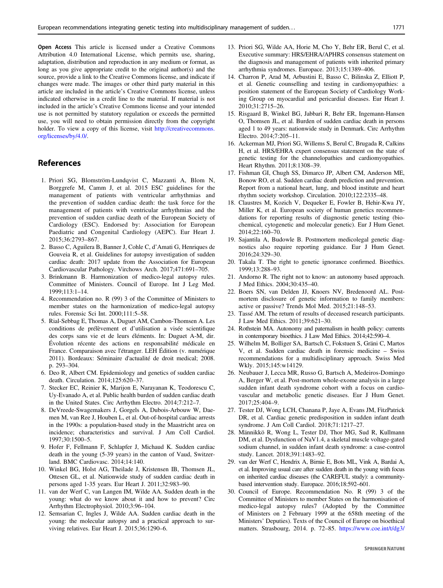<span id="page-8-0"></span>Open Access This article is licensed under a Creative Commons Attribution 4.0 International License, which permits use, sharing, adaptation, distribution and reproduction in any medium or format, as long as you give appropriate credit to the original author(s) and the source, provide a link to the Creative Commons license, and indicate if changes were made. The images or other third party material in this article are included in the article's Creative Commons license, unless indicated otherwise in a credit line to the material. If material is not included in the article's Creative Commons license and your intended use is not permitted by statutory regulation or exceeds the permitted use, you will need to obtain permission directly from the copyright holder. To view a copy of this license, visit [http://creativecommons.](http://creativecommons.org/licenses/by/4.0/) [org/licenses/by/4.0/.](http://creativecommons.org/licenses/by/4.0/)

## References

- 1. Priori SG, Blomström-Lundqvist C, Mazzanti A, Blom N, Borggrefe M, Camm J, et al. 2015 ESC guidelines for the management of patients with ventricular arrhythmias and the prevention of sudden cardiac death: the task force for the management of patients with ventricular arrhythmias and the prevention of sudden cardiac death of the European Society of Cardiology (ESC). Endorsed by: Association for European Paediatric and Congenital Cardiology (AEPC). Eur Heart J. 2015;36:2793–867.
- 2. Basso C, Aguilera B, Banner J, Cohle C, d'Amati G, Henriques de Gouveia R, et al. Guidelines for autopsy investigation of sudden cardiac death: 2017 update from the Association for European Cardiovascular Pathology. Virchows Arch. 2017;471:691–705.
- 3. Brinkmann B. Harmonization of medico-legal autopsy rules. Committee of Ministers. Council of Europe. Int J Leg Med. 1999;113:1–14.
- 4. Recommendation no. R (99) 3 of the Committee of Ministers to member states on the harmonization of medico-legal autopsy rules. Forensic Sci Int. 2000;111:5–58.
- 5. Rial-Sebbag E, Thomas A, Duguet AM, Cambon-Thomsen A. Les conditions de prélèvement et d'utilisation a visée scientifique des corps sans vie et de leurs éléments. In: Duguet A-M, dir. Évolution récente des actions en responsabilité médicale en France. Comparaison avec l'étranger. LEH Édition (v. numérique 2011). Bordeaux: Séminaire d'actualité de droit medical; 2008. p. 293–304.
- 6. Deo R, Albert CM. Epidemiology and genetics of sudden cardiac death. Circulation. 2014;125:620–37.
- 7. Stecker EC, Reinier K, Marijon E, Narayanan K, Teodorescu C, Uy-Evanado A, et al. Public health burden of sudden cardiac death in the United States. Circ Arrhythm Electro. 2014;7:212–7.
- 8. DeVreede-Swagemakers J, Gorgels A, Dubois-Arbouw W, Daemen M, van Ree J, Houben L, et al. Out-of-hospital cardiac arrests in the 1990s: a population-based study in the Maastricht area on incidence; characteristics and survival. J Am Coll Cardiol. 1997;30:1500–5.
- 9. Hofer F, Fellmann F, Schlapfer J, Michaud K. Sudden cardiac death in the young (5-39 years) in the canton of Vaud, Switzerland. BMC Cardiovasc. 2014;14:140.
- 10. Winkel BG, Holst AG, Theilade J, Kristensen IB, Thomsen JL, Ottesen GL, et al. Nationwide study of sudden cardiac death in persons aged 1-35 years. Eur Heart J. 2011;32:983–90.
- 11. van der Werf C, van Langen IM, Wilde AA. Sudden death in the young: what do we know about it and how to prevent? Circ Arrhythm Electrophysiol. 2010;3:96–104.
- 12. Semsarian C, Ingles J, Wilde AA. Sudden cardiac death in the young: the molecular autopsy and a practical approach to surviving relatives. Eur Heart J. 2015;36:1290–6.
- 13. Priori SG, Wilde AA, Horie M, Cho Y, Behr ER, Berul C, et al. Executive summary: HRS/EHRA/APHRS consensus statement on the diagnosis and management of patients with inherited primary arrhythmia syndromes. Europace. 2013;15:1389–406.
- 14. Charron P, Arad M, Arbustini E, Basso C, Bilinska Z, Elliott P, et al. Genetic counselling and testing in cardiomyopathies: a position statement of the European Society of Cardiology Working Group on myocardial and pericardial diseases. Eur Heart J. 2010;31:2715–26.
- 15. Risgaard B, Winkel BG, Jabbari R, Behr ER, Ingemann-Hansen O, Thomsen JL, et al. Burden of sudden cardiac death in persons aged 1 to 49 years: nationwide study in Denmark. Circ Arrhythm Electro. 2014;7:205–11.
- 16. Ackerman MJ, Priori SG, Willems S, Berul C, Brugada R, Calkins H, et al. HRS/EHRA expert consensus statement on the state of genetic testing for the channelopathies and cardiomyopathies. Heart Rhythm. 2011;8:1308–39.
- 17. Fishman GI, Chugh SS, Dimarco JP, Albert CM, Anderson ME, Bonow RO, et al. Sudden cardiac death prediction and prevention. Report from a national heart, lung, and blood institute and heart rhythm society workshop. Circulation. 2010;122:2335–48.
- 18. Claustres M, Kozich V, Dequeker E, Fowler B, Hehir-Kwa JY, Miller K, et al. European society of human genetics recommendations for reporting results of diagnostic genetic testing (biochemical, cytogenetic and molecular genetic). Eur J Hum Genet. 2014;22:160–70.
- 19. Sajantila A, Budowle B. Postmortem medicolegal genetic diagnostics also require reporting guidance. Eur J Hum Genet. 2016;24:329–30.
- 20. Takala T. The right to genetic ignorance confirmed. Bioethics. 1999;13:288–93.
- 21. Andorno R. The right not to know: an autonomy based approach. J Med Ethics. 2004;30:435–40.
- 22. Boers SN, van Delden JJ, Knoers NV, Bredenoord AL. Postmortem disclosure of genetic information to family members: active or passive? Trends Mol Med. 2015;21:148–53.
- 23. Tassé AM. The return of results of deceased research participants. J Law Med Ethics. 2011;39:621–30.
- 24. Rothstein MA. Autonomy and paternalism in health policy: currents in contemporary bioethics. J Law Med Ethics. 2014;42:590–4.
- 25. Wilhelm M, Bolliger SA, Bartsch C, Fokstuen S, Gräni C, Martos V, et al. Sudden cardiac death in forensic medicine – Swiss recommendations for a multidisciplinary approach. Swiss Med Wkly. 2015;145:w14129.
- 26. Neubauer J, Lecca MR, Russo G, Bartsch A, Medeiros-Domingo A, Berger W, et al. Post-mortem whole-exome analysis in a large sudden infant death syndrome cohort with a focus on cardiovascular and metabolic genetic diseases. Eur J Hum Genet. 2017;25:404–9.
- 27. Tester DJ, Wong LCH, Chanana P, Jaye A, Evans JM, FitzPatrick DR, et al. Cardiac genetic predisposition in sudden infant death syndrome. J Am Coll Cardiol. 2018;71:1217–27.
- 28. Männikkö R, Wong L, Tester DJ, Thor MG, Sud R, Kullmann DM, et al. Dysfunction of NaV1.4, a skeletal muscle voltage-gated sodium channel, in sudden infant death syndrome: a case-control study. Lancet. 2018;391:1483–92.
- 29. van der Werf C, Hendrix A, Birnie E, Bots ML, Vink A, Bardai A, et al. Improving usual care after sudden death in the young with focus on inherited cardiac diseases (the CAREFUL study): a communitybased intervention study. Europace. 2016;18:592–601.
- 30. Council of Europe. Recommendation No. R (99) 3 of the Committee of Ministers to member States on the harmonisation of medico-legal autopsy rules7 (Adopted by the Committee of Ministers on 2 February 1999 at the 658th meeting of the Ministers' Deputies). Texts of the Council of Europe on bioethical matters. Strasbourg, 2014. p. 72–85. [https://www.coe.int/t/dg3/](https://www.coe.int/t/dg3/healthbioethic/Texts_and_documents/INF_2014_5_vol_I_textes_%20CoE_%20bio%C3%A9thique_E%20(2).pdf)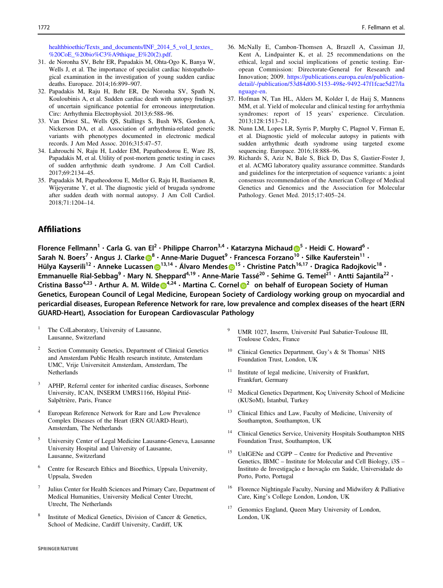<span id="page-9-0"></span>healthbioethic/Texts\_and\_documents/INF\_2014\_5\_vol\_I\_textes [%20CoE\\_%20bio%C3%A9thique\\_E%20\(2\).pdf.](https://www.coe.int/t/dg3/healthbioethic/Texts_and_documents/INF_2014_5_vol_I_textes_%20CoE_%20bio%C3%A9thique_E%20(2).pdf)

- 31. de Noronha SV, Behr ER, Papadakis M, Ohta-Ogo K, Banya W, Wells J, et al. The importance of specialist cardiac histopathological examination in the investigation of young sudden cardiac deaths. Europace. 2014;16:899–907.
- 32. Papadakis M, Raju H, Behr ER, De Noronha SV, Spath N, Kouloubinis A, et al. Sudden cardiac death with autopsy findings of uncertain significance potential for erroneous interpretation. Circ: Arrhythmia Electrophysiol. 2013;6:588–96.
- 33. Van Driest SL, Wells QS, Stallings S, Bush WS, Gordon A, Nickerson DA, et al. Association of arrhythmia-related genetic variants with phenotypes documented in electronic medical records. J Am Med Assoc. 2016;315:47–57.
- 34. Lahrouchi N, Raju H, Lodder EM, Papatheodorou E, Ware JS, Papadakis M, et al. Utility of post-mortem genetic testing in cases of sudden arrhythmic death syndrome. J Am Coll Cardiol. 2017;69:2134–45.
- 35. Papadakis M, Papatheodorou E, Mellor G, Raju H, Bastiaenen R, Wijeyeratne Y, et al. The diagnostic yield of brugada syndrome after sudden death with normal autopsy. J Am Coll Cardiol. 2018;71:1204–14.
- 36. McNally E, Cambon-Thomsen A, Brazell A, Cassiman JJ, Kent A, Lindpainter K, et al. 25 recommendations on the ethical, legal and social implications of genetic testing. European Commission: Directorate-General for Research and Innovation; 2009. [https://publications.europa.eu/en/publication](https://publications.europa.eu/en/publication-detail/-/publication/53d84d00-5153-498e-9492-47f1fcae5d27/language-en)[detail/-/publication/53d84d00-5153-498e-9492-47f1fcae5d27/la](https://publications.europa.eu/en/publication-detail/-/publication/53d84d00-5153-498e-9492-47f1fcae5d27/language-en) [nguage-en](https://publications.europa.eu/en/publication-detail/-/publication/53d84d00-5153-498e-9492-47f1fcae5d27/language-en).
- 37. Hofman N, Tan HL, Alders M, Kolder I, de Haij S, Mannens MM, et al. Yield of molecular and clinical testing for arrhythmia syndromes: report of 15 years' experience. Circulation. 2013;128:1513–21.
- 38. Nunn LM, Lopes LR, Syrris P, Murphy C, Plagnol V, Firman E, et al. Diagnostic yield of molecular autopsy in patients with sudden arrhythmic death syndrome using targeted exome sequencing. Europace. 2016;18:888–96.
- 39. Richards S, Aziz N, Bale S, Bick D, Das S, Gastier-Foster J, et al. ACMG laboratory quality assurance committee. Standards and guidelines for the interpretation of sequence variants: a joint consensus recommendation of the American College of Medical Genetics and Genomics and the Association for Molecular Pathology. Genet Med. 2015;17:405–24.

## **Affiliations**

Florence Fellmann<sup>1</sup> • Carla G. van El<sup>2</sup> • Philippe Charron<sup>3,4</sup> • Katarzyna Michaud D<sup>[5](http://orcid.org/0000-0003-2681-2544)</sup> • Heidi C. Howard<sup>6</sup> • Sarah N. Bo[e](http://orcid.org/0000-0002-1200-9286)rs<sup>7</sup> • Angus J. Clarke D $^8$  $^8$  • Anne-Marie Duguet $^9$  • Francesca Forzano<sup>10</sup> • Silke Kauferstein<sup>11</sup> • Hülya Kayserili<sup>12</sup> • A[n](http://orcid.org/0000-0003-3324-4338)neke Lucassen D<sup>[1](http://orcid.org/0000-0002-8766-7646)3,14</[s](http://orcid.org/0000-0002-8766-7646)up> • Álvaro Mendes D<sup>15</sup> • Christine Patch<sup>16,17</sup> • Dragica Radojkovic<sup>18</sup> • Emmanuelle Rial-Sebbag<sup>9</sup> • Mary N. Sheppard<sup>4,19</sup> • Anne-Marie Tassé<sup>20</sup> • Sehime G. Temel<sup>21</sup> • Antti Sajantila<sup>22</sup> • Cristina Basso<sup>[4](http://orcid.org/0000-0002-0528-0852),[2](http://orcid.org/0000-0002-5397-5544)3</sup> · Arthur A. M. Wilde  $\bigcirc^{4,24}$  · Martina C. Cornel  $\bigcirc^2$  on behalf of European Society of Human Genetics, European Council of Legal Medicine, European Society of Cardiology working group on myocardial and pericardial diseases, European Reference Network for rare, low prevalence and complex diseases of the heart (ERN GUARD-Heart), Association for European Cardiovascular Pathology

- The ColLaboratory, University of Lausanne, Lausanne, Switzerland
- Section Community Genetics, Department of Clinical Genetics and Amsterdam Public Health research institute, Amsterdam UMC, Vrije Universiteit Amsterdam, Amsterdam, The Netherlands
- <sup>3</sup> APHP, Referral center for inherited cardiac diseases, Sorbonne University, ICAN, INSERM UMRS1166, Hôpital Pitié-Salpêtrière, Paris, France
- European Reference Network for Rare and Low Prevalence Complex Diseases of the Heart (ERN GUARD-Heart), Amsterdam, The Netherlands
- <sup>5</sup> University Center of Legal Medicine Lausanne-Geneva, Lausanne University Hospital and University of Lausanne, Lausanne, Switzerland
- Centre for Research Ethics and Bioethics, Uppsala University, Uppsala, Sweden
- Julius Center for Health Sciences and Primary Care, Department of Medical Humanities, University Medical Center Utrecht, Utrecht, The Netherlands
- Institute of Medical Genetics, Division of Cancer & Genetics, School of Medicine, Cardiff University, Cardiff, UK
- <sup>9</sup> UMR 1027, Inserm, Université Paul Sabatier-Toulouse III, Toulouse Cedex, France
- Clinical Genetics Department, Guy's & St Thomas' NHS Foundation Trust, London, UK
- $11$  Institute of legal medicine, University of Frankfurt, Frankfurt, Germany
- <sup>12</sup> Medical Genetics Department, Koç University School of Medicine (KUSoM), İstanbul, Turkey
- <sup>13</sup> Clinical Ethics and Law, Faculty of Medicine, University of Southampton, Southampton, UK
- <sup>14</sup> Clinical Genetics Service, University Hospitals Southampton NHS Foundation Trust, Southampton, UK
- <sup>15</sup> UnIGENe and CGPP Centre for Predictive and Preventive Genetics, IBMC – Institute for Molecular and Cell Biology, i3S – Instituto de Investigação e Inovação em Saúde, Universidade do Porto, Porto, Portugal
- Florence Nightingale Faculty, Nursing and Midwifery & Palliative Care, King's College London, London, UK
- <sup>17</sup> Genomics England, Queen Mary University of London, London, UK